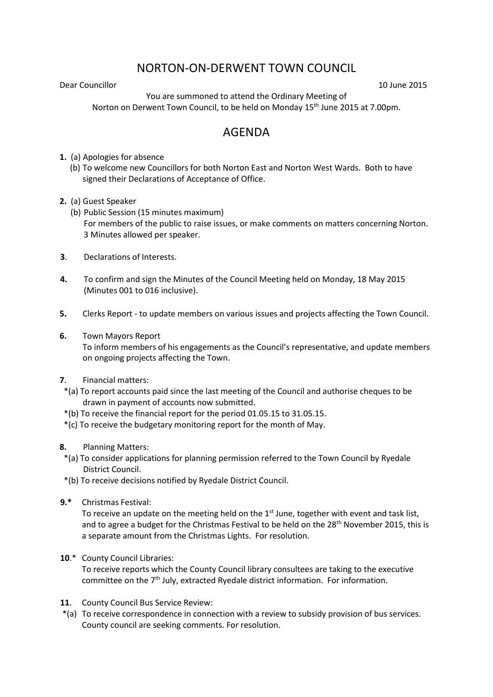## NORTON-ON-DERWENT TOWN COUNCIL

Dear Councillor 10 June 2015

You are summoned to attend the Ordinary Meeting of Norton on Derwent Town Council, to be held on Monday 15<sup>th</sup> June 2015 at 7.00pm.

## AGENDA

**1.** (a) Apologies for absence

 (b) To welcome new Councillors for both Norton East and Norton West Wards. Both to have signed their Declarations of Acceptance of Office.

- **2.** (a) Guest Speaker
	- (b) Public Session (15 minutes maximum) For members of the public to raise issues, or make comments on matters concerning Norton. 3 Minutes allowed per speaker.
- **3**. Declarations of Interests.
- **4.** To confirm and sign the Minutes of the Council Meeting held on Monday, 18 May 2015 (Minutes 001 to 016 inclusive).
- **5.** Clerks Report to update members on various issues and projects affecting the Town Council.
- **6.** Town Mayors Report

 To inform members of his engagements as the Council's representative, and update members on ongoing projects affecting the Town.

- **7**. Financial matters:
- \*(a) To report accounts paid since the last meeting of the Council and authorise cheques to be drawn in payment of accounts now submitted.
- \*(b) To receive the financial report for the period 01.05.15 to 31.05.15.
- \*(c) To receive the budgetary monitoring report for the month of May.
- **8.** Planning Matters:
	- \*(a) To consider applications for planning permission referred to the Town Council by Ryedale District Council.
- \*(b) To receive decisions notified by Ryedale District Council.
- **9.\*** Christmas Festival:

To receive an update on the meeting held on the  $1<sup>st</sup>$  June, together with event and task list, and to agree a budget for the Christmas Festival to be held on the 28<sup>th</sup> November 2015, this is a separate amount from the Christmas Lights. For resolution.

**10**.\* County Council Libraries:

To receive reports which the County Council library consultees are taking to the executive committee on the 7<sup>th</sup> July, extracted Ryedale district information. For information.

- **11**. County Council Bus Service Review:
- \*(a) To receive correspondence in connection with a review to subsidy provision of bus services. County council are seeking comments. For resolution.